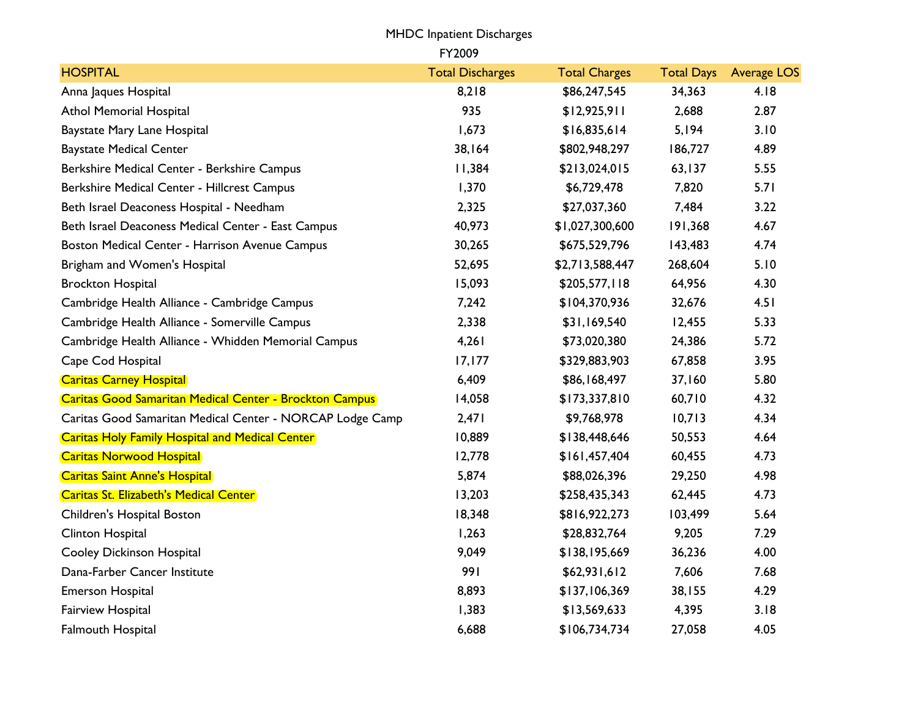|                                                                | <b>MHDC</b> Inpatient Discharges |                      |                   |                    |
|----------------------------------------------------------------|----------------------------------|----------------------|-------------------|--------------------|
|                                                                | FY2009                           |                      |                   |                    |
| <b>HOSPITAL</b>                                                | <b>Total Discharges</b>          | <b>Total Charges</b> | <b>Total Days</b> | <b>Average LOS</b> |
| Anna Jaques Hospital                                           | 8,218                            | \$86,247,545         | 34,363            | 4.18               |
| <b>Athol Memorial Hospital</b>                                 | 935                              | \$12,925,911         | 2,688             | 2.87               |
| Baystate Mary Lane Hospital                                    | 1,673                            | \$16,835,614         | 5,194             | 3.10               |
| <b>Baystate Medical Center</b>                                 | 38,164                           | \$802,948,297        | 186,727           | 4.89               |
| Berkshire Medical Center - Berkshire Campus                    | 11,384                           | \$213,024,015        | 63,137            | 5.55               |
| Berkshire Medical Center - Hillcrest Campus                    | 1,370                            | \$6,729,478          | 7,820             | 5.71               |
| Beth Israel Deaconess Hospital - Needham                       | 2,325                            | \$27,037,360         | 7,484             | 3.22               |
| Beth Israel Deaconess Medical Center - East Campus             | 40,973                           | \$1,027,300,600      | 191,368           | 4.67               |
| Boston Medical Center - Harrison Avenue Campus                 | 30,265                           | \$675,529,796        | 143,483           | 4.74               |
| Brigham and Women's Hospital                                   | 52,695                           | \$2,713,588,447      | 268,604           | 5.10               |
| <b>Brockton Hospital</b>                                       | 15,093                           | \$205,577,118        | 64,956            | 4.30               |
| Cambridge Health Alliance - Cambridge Campus                   | 7,242                            | \$104,370,936        | 32,676            | 4.51               |
| Cambridge Health Alliance - Somerville Campus                  | 2,338                            | \$31,169,540         | 12,455            | 5.33               |
| Cambridge Health Alliance - Whidden Memorial Campus            | 4,261                            | \$73,020,380         | 24,386            | 5.72               |
| Cape Cod Hospital                                              | 17,177                           | \$329,883,903        | 67,858            | 3.95               |
| <b>Caritas Carney Hospital</b>                                 | 6,409                            | \$86,168,497         | 37,160            | 5.80               |
| <b>Caritas Good Samaritan Medical Center - Brockton Campus</b> | 14,058                           | \$173,337,810        | 60,710            | 4.32               |
| Caritas Good Samaritan Medical Center - NORCAP Lodge Camp      | 2,471                            | \$9,768,978          | 10,713            | 4.34               |
| <b>Caritas Holy Family Hospital and Medical Center</b>         | 10,889                           | \$138,448,646        | 50,553            | 4.64               |
| <b>Caritas Norwood Hospital</b>                                | 12,778                           | \$161,457,404        | 60,455            | 4.73               |
| <b>Caritas Saint Anne's Hospital</b>                           | 5,874                            | \$88,026,396         | 29,250            | 4.98               |
| Caritas St. Elizabeth's Medical Center                         | 13,203                           | \$258,435,343        | 62,445            | 4.73               |
| Children's Hospital Boston                                     | 18,348                           | \$816,922,273        | 103,499           | 5.64               |
| Clinton Hospital                                               | 1,263                            | \$28,832,764         | 9,205             | 7.29               |
| <b>Cooley Dickinson Hospital</b>                               | 9,049                            | \$138,195,669        | 36,236            | 4.00               |
| Dana-Farber Cancer Institute                                   | 991                              | \$62,931,612         | 7,606             | 7.68               |
| Emerson Hospital                                               | 8,893                            | \$137,106,369        | 38,155            | 4.29               |
| Fairview Hospital                                              | 1,383                            | \$13,569,633         | 4,395             | 3.18               |
| Falmouth Hospital                                              | 6,688                            | \$106,734,734        | 27,058            | 4.05               |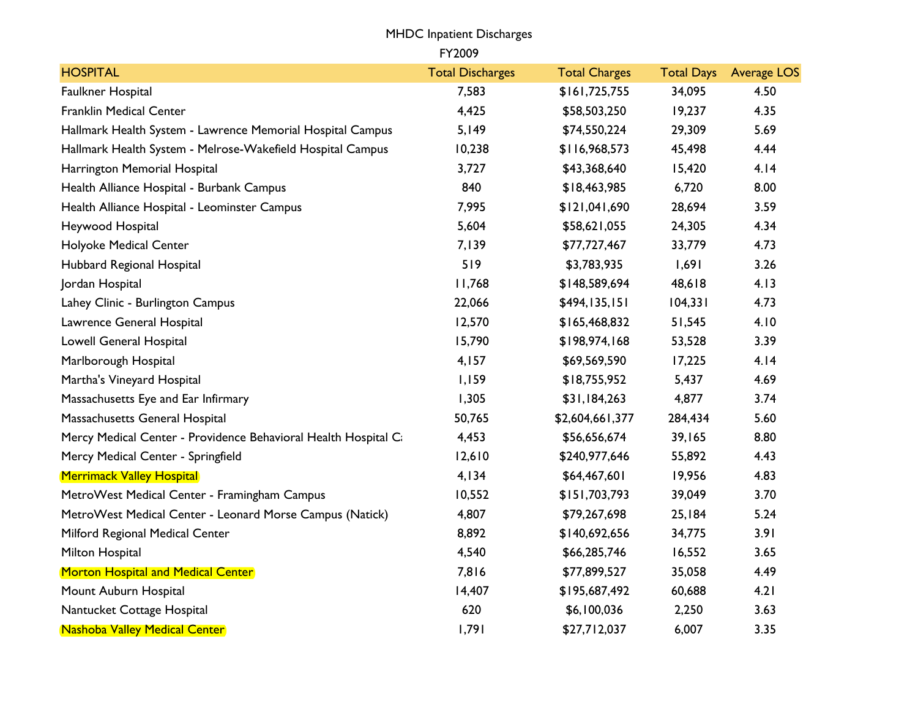|                                                                | <b>MHDC</b> Inpatient Discharges |                      |                   |                    |
|----------------------------------------------------------------|----------------------------------|----------------------|-------------------|--------------------|
|                                                                | FY2009                           |                      |                   |                    |
| <b>HOSPITAL</b>                                                | <b>Total Discharges</b>          | <b>Total Charges</b> | <b>Total Days</b> | <b>Average LOS</b> |
| Faulkner Hospital                                              | 7,583                            | \$161,725,755        | 34,095            | 4.50               |
| <b>Franklin Medical Center</b>                                 | 4,425                            | \$58,503,250         | 19,237            | 4.35               |
| Hallmark Health System - Lawrence Memorial Hospital Campus     | 5,149                            | \$74,550,224         | 29,309            | 5.69               |
| Hallmark Health System - Melrose-Wakefield Hospital Campus     | 10,238                           | \$116,968,573        | 45,498            | 4.44               |
| Harrington Memorial Hospital                                   | 3,727                            | \$43,368,640         | 15,420            | 4.14               |
| Health Alliance Hospital - Burbank Campus                      | 840                              | \$18,463,985         | 6,720             | 8.00               |
| Health Alliance Hospital - Leominster Campus                   | 7,995                            | \$121,041,690        | 28,694            | 3.59               |
| Heywood Hospital                                               | 5,604                            | \$58,621,055         | 24,305            | 4.34               |
| Holyoke Medical Center                                         | 7,139                            | \$77,727,467         | 33,779            | 4.73               |
| Hubbard Regional Hospital                                      | 519                              | \$3,783,935          | 1,691             | 3.26               |
| Jordan Hospital                                                | 11,768                           | \$148,589,694        | 48,618            | 4.13               |
| Lahey Clinic - Burlington Campus                               | 22,066                           | \$494,135,151        | 104,331           | 4.73               |
| Lawrence General Hospital                                      | 12,570                           | \$165,468,832        | 51,545            | 4.10               |
| Lowell General Hospital                                        | 15,790                           | \$198,974,168        | 53,528            | 3.39               |
| Marlborough Hospital                                           | 4,157                            | \$69,569,590         | 17,225            | 4.14               |
| Martha's Vineyard Hospital                                     | 1,159                            | \$18,755,952         | 5,437             | 4.69               |
| Massachusetts Eye and Ear Infirmary                            | 1,305                            | \$31,184,263         | 4,877             | 3.74               |
| Massachusetts General Hospital                                 | 50,765                           | \$2,604,661,377      | 284,434           | 5.60               |
| Mercy Medical Center - Providence Behavioral Health Hospital C | 4,453                            | \$56,656,674         | 39,165            | 8.80               |
| Mercy Medical Center - Springfield                             | 12,610                           | \$240,977,646        | 55,892            | 4.43               |
| <b>Merrimack Valley Hospital</b>                               | 4,134                            | \$64,467,601         | 19,956            | 4.83               |
| MetroWest Medical Center - Framingham Campus                   | 10,552                           | \$151,703,793        | 39,049            | 3.70               |
| MetroWest Medical Center - Leonard Morse Campus (Natick)       | 4,807                            | \$79,267,698         | 25,184            | 5.24               |
| Milford Regional Medical Center                                | 8,892                            | \$140,692,656        | 34,775            | 3.91               |
| Milton Hospital                                                | 4,540                            | \$66,285,746         | 16,552            | 3.65               |
| <b>Morton Hospital and Medical Center</b>                      | 7,816                            | \$77,899,527         | 35,058            | 4.49               |
| Mount Auburn Hospital                                          | 14,407                           | \$195,687,492        | 60,688            | 4.21               |
| Nantucket Cottage Hospital                                     | 620                              | \$6,100,036          | 2,250             | 3.63               |
| Nashoba Valley Medical Center                                  | 1,791                            | \$27,712,037         | 6,007             | 3.35               |